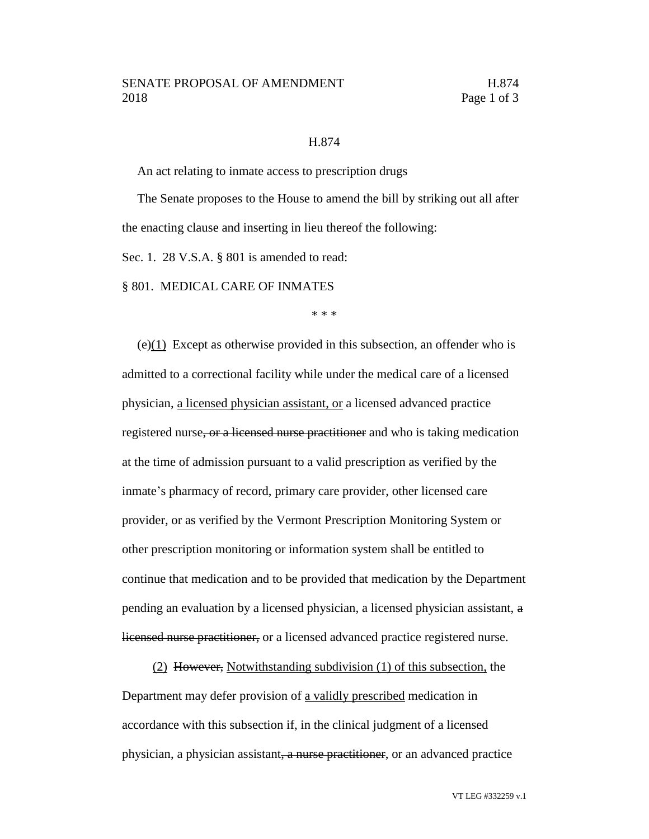## H.874

An act relating to inmate access to prescription drugs

The Senate proposes to the House to amend the bill by striking out all after the enacting clause and inserting in lieu thereof the following:

Sec. 1. 28 V.S.A. § 801 is amended to read:

§ 801. MEDICAL CARE OF INMATES

\* \* \*

(e)(1) Except as otherwise provided in this subsection, an offender who is admitted to a correctional facility while under the medical care of a licensed physician, a licensed physician assistant, or a licensed advanced practice registered nurse, or a licensed nurse practitioner and who is taking medication at the time of admission pursuant to a valid prescription as verified by the inmate's pharmacy of record, primary care provider, other licensed care provider, or as verified by the Vermont Prescription Monitoring System or other prescription monitoring or information system shall be entitled to continue that medication and to be provided that medication by the Department pending an evaluation by a licensed physician, a licensed physician assistant, a licensed nurse practitioner, or a licensed advanced practice registered nurse.

(2) However, Notwithstanding subdivision (1) of this subsection, the Department may defer provision of a validly prescribed medication in accordance with this subsection if, in the clinical judgment of a licensed physician, a physician assistant, a nurse practitioner, or an advanced practice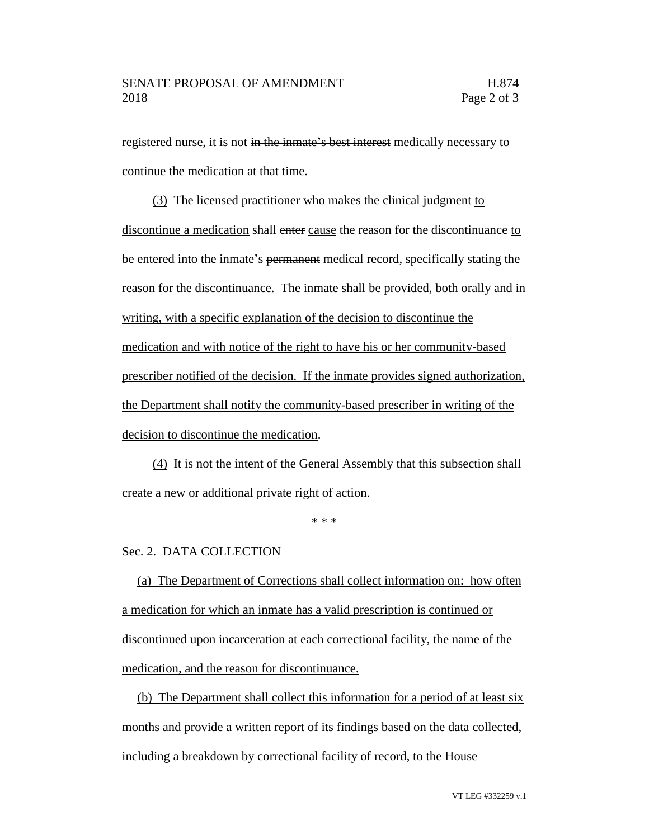registered nurse, it is not in the inmate's best interest medically necessary to continue the medication at that time.

(3) The licensed practitioner who makes the clinical judgment to discontinue a medication shall enter cause the reason for the discontinuance to be entered into the inmate's permanent medical record, specifically stating the reason for the discontinuance. The inmate shall be provided, both orally and in writing, with a specific explanation of the decision to discontinue the medication and with notice of the right to have his or her community-based prescriber notified of the decision. If the inmate provides signed authorization, the Department shall notify the community-based prescriber in writing of the decision to discontinue the medication.

(4) It is not the intent of the General Assembly that this subsection shall create a new or additional private right of action.

\* \* \*

## Sec. 2. DATA COLLECTION

(a) The Department of Corrections shall collect information on: how often a medication for which an inmate has a valid prescription is continued or discontinued upon incarceration at each correctional facility, the name of the medication, and the reason for discontinuance.

(b) The Department shall collect this information for a period of at least six months and provide a written report of its findings based on the data collected, including a breakdown by correctional facility of record, to the House